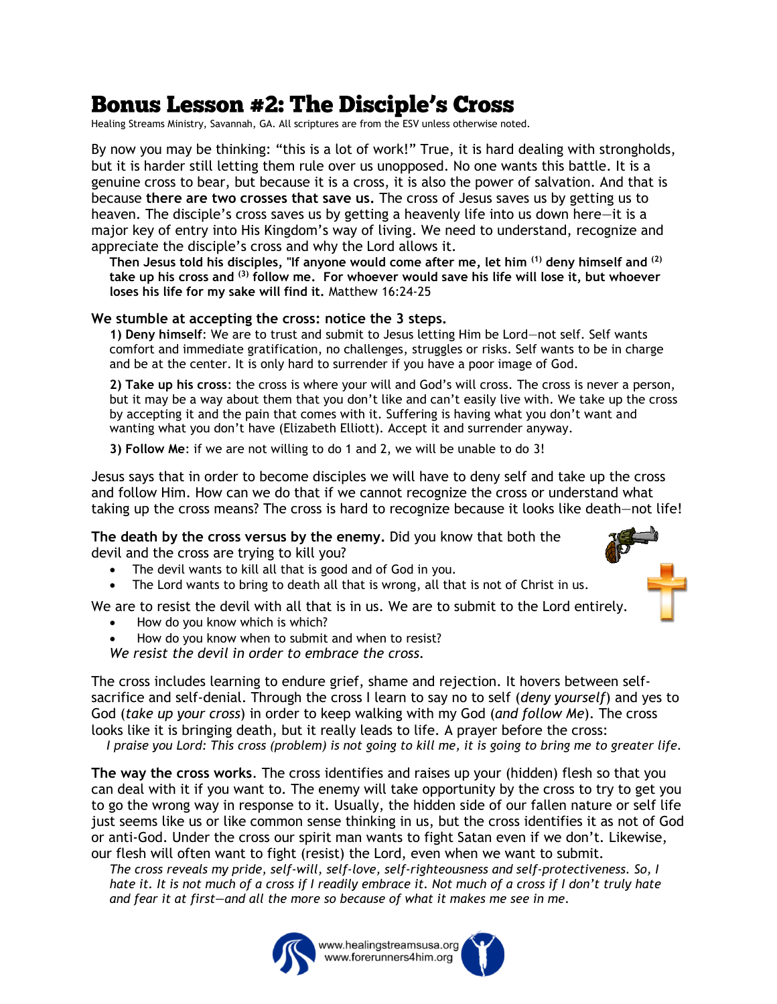## **Bonus Lesson #2: The Disciple's Cross**

Healing Streams Ministry, Savannah, GA. All scriptures are from the ESV unless otherwise noted.

By now you may be thinking: "this is a lot of work!" True, it is hard dealing with strongholds, but it is harder still letting them rule over us unopposed. No one wants this battle. It is a genuine cross to bear, but because it is a cross, it is also the power of salvation. And that is because **there are two crosses that save us.** The cross of Jesus saves us by getting us to heaven. The disciple's cross saves us by getting a heavenly life into us down here—it is a major key of entry into His Kingdom's way of living. We need to understand, recognize and appreciate the disciple's cross and why the Lord allows it.

**Then Jesus told his disciples, "If anyone would come after me, let him (1) deny himself and (2) take up his cross and (3) follow me. For whoever would save his life will lose it, but whoever loses his life for my sake will find it.** Matthew 16:24-25

## **We stumble at accepting the cross: notice the 3 steps.**

**1) Deny himself**: We are to trust and submit to Jesus letting Him be Lord—not self. Self wants comfort and immediate gratification, no challenges, struggles or risks. Self wants to be in charge and be at the center. It is only hard to surrender if you have a poor image of God.

**2) Take up his cross**: the cross is where your will and God's will cross. The cross is never a person, but it may be a way about them that you don't like and can't easily live with. We take up the cross by accepting it and the pain that comes with it. Suffering is having what you don't want and wanting what you don't have (Elizabeth Elliott). Accept it and surrender anyway.

**3) Follow Me**: if we are not willing to do 1 and 2, we will be unable to do 3!

Jesus says that in order to become disciples we will have to deny self and take up the cross and follow Him. How can we do that if we cannot recognize the cross or understand what taking up the cross means? The cross is hard to recognize because it looks like death—not life!

**The death by the cross versus by the enemy.** Did you know that both the devil and the cross are trying to kill you?

- The devil wants to kill all that is good and of God in you.
- The Lord wants to bring to death all that is wrong, all that is not of Christ in us.

We are to resist the devil with all that is in us. We are to submit to the Lord entirely.

- How do you know which is which?
- How do you know when to submit and when to resist?

*We resist the devil in order to embrace the cross.*

The cross includes learning to endure grief, shame and rejection. It hovers between selfsacrifice and self-denial. Through the cross I learn to say no to self (*deny yourself*) and yes to God (*take up your cross*) in order to keep walking with my God (*and follow Me*). The cross looks like it is bringing death, but it really leads to life. A prayer before the cross:

 *I praise you Lord: This cross (problem) is not going to kill me, it is going to bring me to greater life.*

**The way the cross works**. The cross identifies and raises up your (hidden) flesh so that you can deal with it if you want to. The enemy will take opportunity by the cross to try to get you to go the wrong way in response to it. Usually, the hidden side of our fallen nature or self life just seems like us or like common sense thinking in us, but the cross identifies it as not of God or anti-God. Under the cross our spirit man wants to fight Satan even if we don't. Likewise, our flesh will often want to fight (resist) the Lord, even when we want to submit.

*The cross reveals my pride, self-will, self-love, self-righteousness and self-protectiveness. So, I hate it. It is not much of a cross if I readily embrace it. Not much of a cross if I don't truly hate and fear it at first—and all the more so because of what it makes me see in me.*